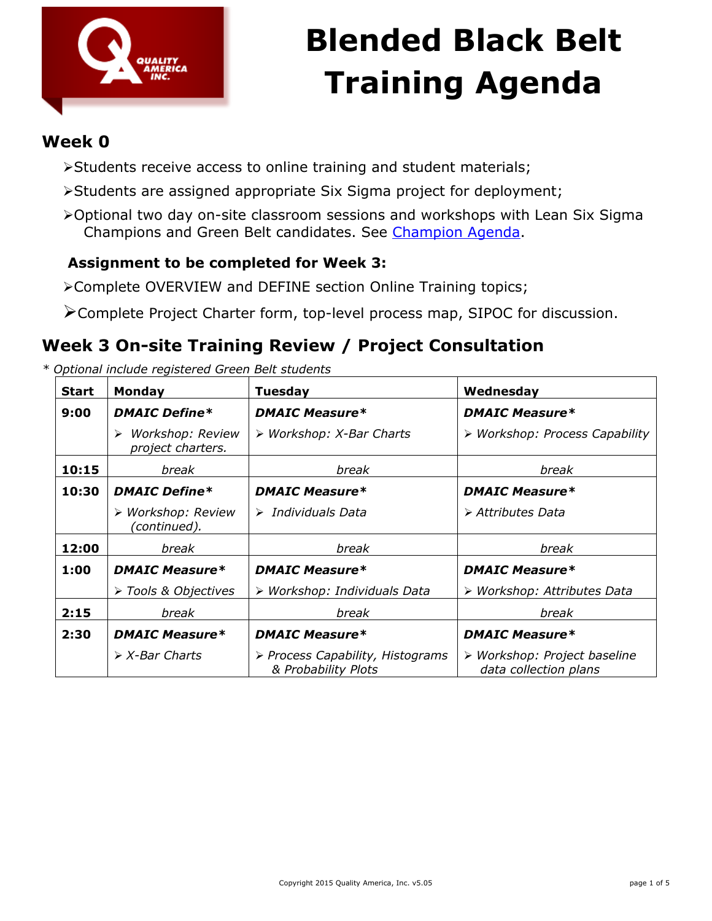

### **Week 0**

- Students receive access to online training and student materials;
- Students are assigned appropriate Six Sigma project for deployment;
- Optional two day on-site classroom sessions and workshops with Lean Six Sigma Champions and Green Belt candidates. See [Champion Agenda.](http://qualityamerica.com/downloads/Champion_Agenda.pdf)

### **Assignment to be completed for Week 3:**

Complete OVERVIEW and DEFINE section Online Training topics;

Complete Project Charter form, top-level process map, SIPOC for discussion.

### **Week 3 On-site Training Review / Project Consultation**

| <b>Start</b> | <b>Monday</b>                              | <b>Tuesday</b>                                          | Wednesday                                             |  |
|--------------|--------------------------------------------|---------------------------------------------------------|-------------------------------------------------------|--|
| 9:00         | <b>DMAIC Define*</b>                       | <b>DMAIC Measure*</b>                                   | <b>DMAIC Measure*</b>                                 |  |
|              | Workshop: Review<br>➤<br>project charters. | $\triangleright$ Workshop: X-Bar Charts                 | > Workshop: Process Capability                        |  |
| 10:15        | break                                      | break                                                   | break                                                 |  |
| 10:30        | <b>DMAIC Define*</b>                       | <b>DMAIC Measure*</b>                                   | <b>DMAIC Measure*</b>                                 |  |
|              | ≻ Workshop: Review<br>(continued).         | $\triangleright$ Individuals Data                       | $\triangleright$ Attributes Data                      |  |
| 12:00        | break                                      | break                                                   | break                                                 |  |
| 1:00         | <b>DMAIC Measure*</b>                      | <b>DMAIC Measure*</b>                                   | <b>DMAIC Measure*</b>                                 |  |
|              | > Tools & Objectives                       | Workshop: Individuals Data<br>➤                         | > Workshop: Attributes Data                           |  |
| 2:15         | break                                      | break                                                   | break                                                 |  |
| 2:30         | <b>DMAIC Measure*</b>                      | <b>DMAIC Measure*</b>                                   | <b>DMAIC Measure*</b>                                 |  |
|              | $\triangleright$ X-Bar Charts              | > Process Capability, Histograms<br>& Probability Plots | > Workshop: Project baseline<br>data collection plans |  |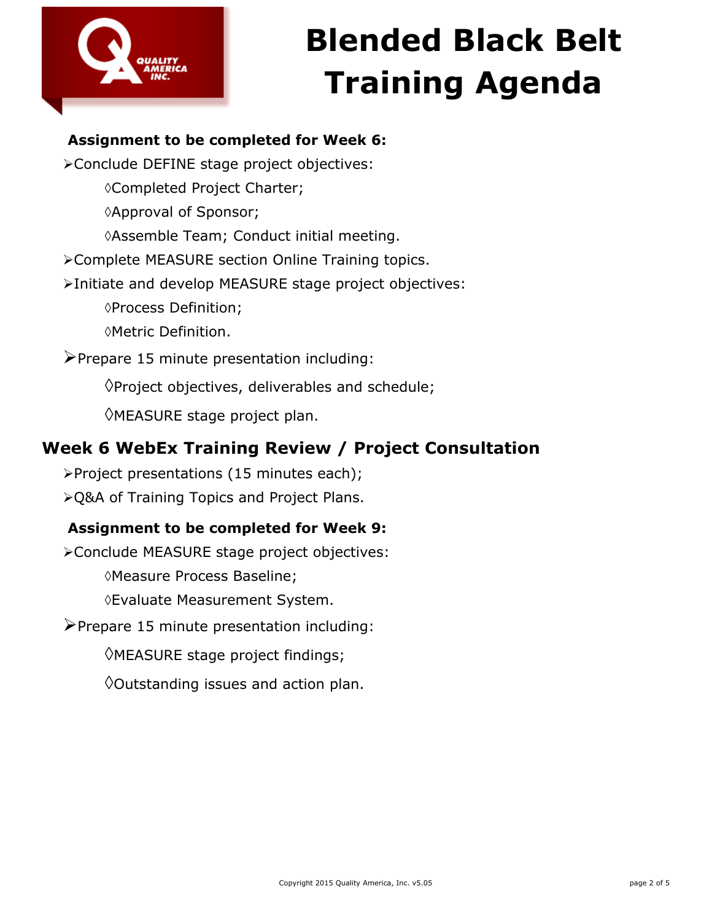

### **Assignment to be completed for Week 6:**

Conclude DEFINE stage project objectives: Completed Project Charter; Approval of Sponsor; Assemble Team; Conduct initial meeting. Complete MEASURE section Online Training topics. Initiate and develop MEASURE stage project objectives: Process Definition; Metric Definition.  $\blacktriangleright$  Prepare 15 minute presentation including:  $\Diamond$ Project objectives, deliverables and schedule; MEASURE stage project plan.

### **Week 6 WebEx Training Review / Project Consultation**

Project presentations (15 minutes each); Q&A of Training Topics and Project Plans.

#### **Assignment to be completed for Week 9:**

Conclude MEASURE stage project objectives: Measure Process Baseline;

Evaluate Measurement System.

 $\triangleright$  Prepare 15 minute presentation including:

MEASURE stage project findings;

 $\Diamond$ Outstanding issues and action plan.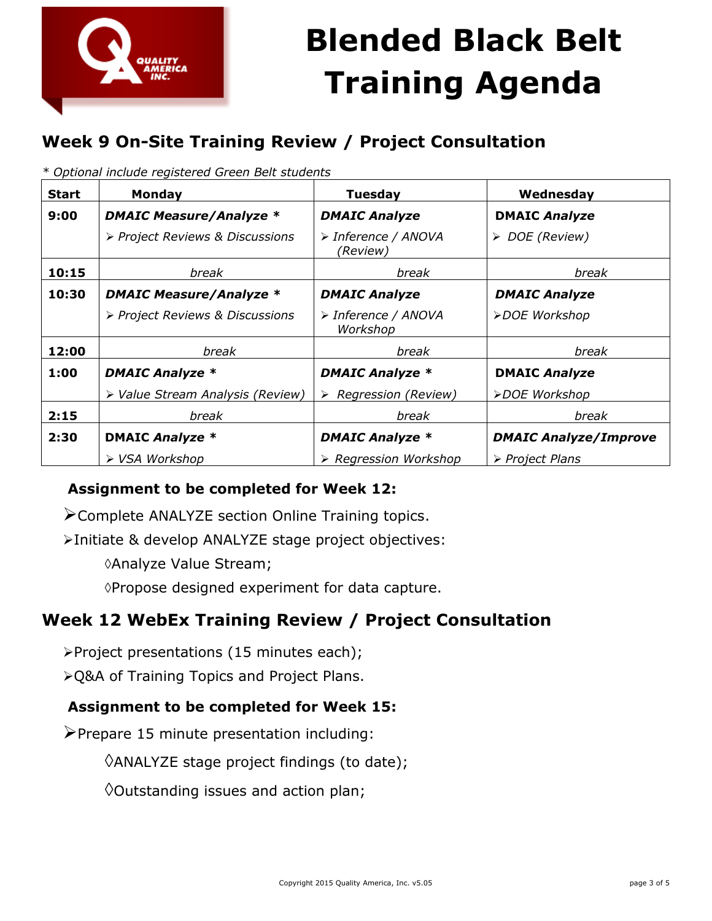

## **Week 9 On-Site Training Review / Project Consultation**

| <b>Start</b> | <b>Monday</b>                    | <b>Tuesday</b>                       | Wednesday                      |
|--------------|----------------------------------|--------------------------------------|--------------------------------|
| 9:00         | <b>DMAIC Measure/Analyze *</b>   | <b>DMAIC Analyze</b>                 | <b>DMAIC Analyze</b>           |
|              | > Project Reviews & Discussions  | > Inference / ANOVA<br>(Review)      | > DOE (Review)                 |
| 10:15        | break                            | break                                | break                          |
| 10:30        | <b>DMAIC Measure/Analyze *</b>   | <b>DMAIC Analyze</b>                 | <b>DMAIC Analyze</b>           |
|              | > Project Reviews & Discussions  | > Inference / ANOVA<br>Workshop      | ≻DOE Workshop                  |
| 12:00        | break                            | break                                | break                          |
| 1:00         | <b>DMAIC Analyze *</b>           | <b>DMAIC Analyze *</b>               | <b>DMAIC Analyze</b>           |
|              | > Value Stream Analysis (Review) | $\triangleright$ Regression (Review) | ≻DOE Workshop                  |
| 2:15         | break                            | break                                | break                          |
| 2:30         | <b>DMAIC Analyze *</b>           | <b>DMAIC Analyze *</b>               | <b>DMAIC Analyze/Improve</b>   |
|              | ▶ VSA Workshop                   | $\triangleright$ Regression Workshop | $\triangleright$ Project Plans |

*\* Optional include registered Green Belt students*

#### **Assignment to be completed for Week 12:**

Complete ANALYZE section Online Training topics.

Initiate & develop ANALYZE stage project objectives:

Analyze Value Stream;

Propose designed experiment for data capture.

### **Week 12 WebEx Training Review / Project Consultation**

Project presentations (15 minutes each);

Q&A of Training Topics and Project Plans.

#### **Assignment to be completed for Week 15:**

 $\triangleright$  Prepare 15 minute presentation including:

ANALYZE stage project findings (to date);

 $\Diamond$ Outstanding issues and action plan;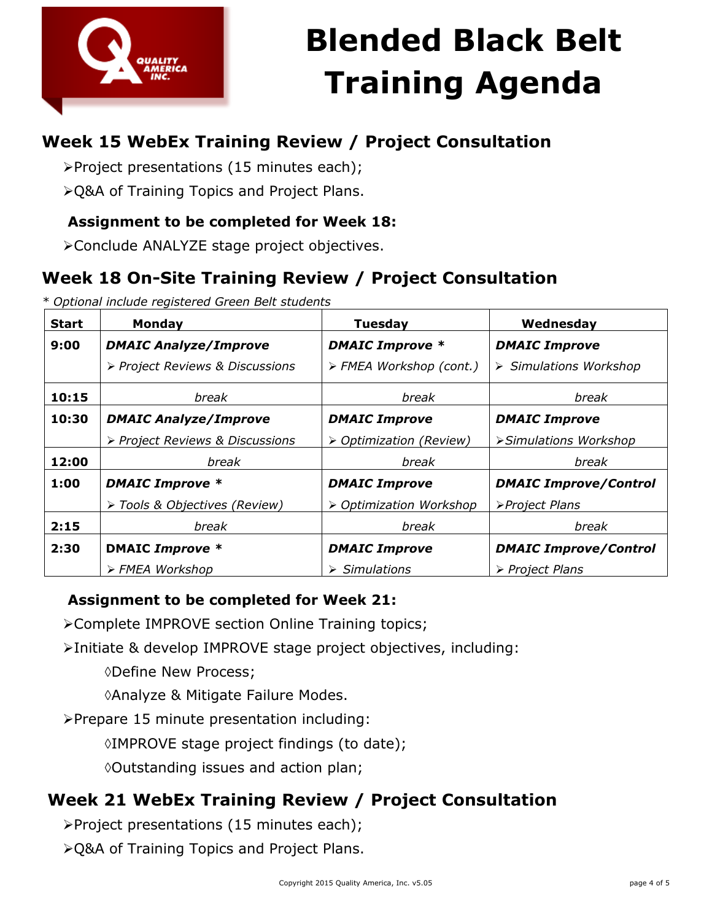

## **Week 15 WebEx Training Review / Project Consultation**

Project presentations (15 minutes each);

Q&A of Training Topics and Project Plans.

### **Assignment to be completed for Week 18:**

Conclude ANALYZE stage project objectives.

## **Week 18 On-Site Training Review / Project Consultation**

*\* Optional include registered Green Belt students*

| <b>Start</b> | <b>Monday</b>                   | <b>Tuesday</b>               | Wednesday                    |
|--------------|---------------------------------|------------------------------|------------------------------|
| 9:00         | <b>DMAIC Analyze/Improve</b>    | <b>DMAIC Improve *</b>       | <b>DMAIC Improve</b>         |
|              | > Project Reviews & Discussions | > FMEA Workshop (cont.)      | > Simulations Workshop       |
| 10:15        | break                           | break                        | break                        |
| 10:30        | <b>DMAIC Analyze/Improve</b>    | <b>DMAIC Improve</b>         | <b>DMAIC Improve</b>         |
|              | > Project Reviews & Discussions | > Optimization (Review)      | >Simulations Workshop        |
| 12:00        | break                           | break                        | break                        |
| 1:00         | <b>DMAIC Improve *</b>          | <b>DMAIC Improve</b>         | <b>DMAIC Improve/Control</b> |
|              | > Tools & Objectives (Review)   | > Optimization Workshop      | >Project Plans               |
| 2:15         | break                           | break                        | break                        |
| 2:30         | <b>DMAIC Improve *</b>          | <b>DMAIC Improve</b>         | <b>DMAIC Improve/Control</b> |
|              | > FMEA Workshop                 | $\triangleright$ Simulations | > Project Plans              |

#### **Assignment to be completed for Week 21:**

Complete IMPROVE section Online Training topics;

Initiate & develop IMPROVE stage project objectives, including:

Define New Process;

Analyze & Mitigate Failure Modes.

Prepare 15 minute presentation including:

IMPROVE stage project findings (to date);

Outstanding issues and action plan;

## **Week 21 WebEx Training Review / Project Consultation**

Project presentations (15 minutes each);

Q&A of Training Topics and Project Plans.